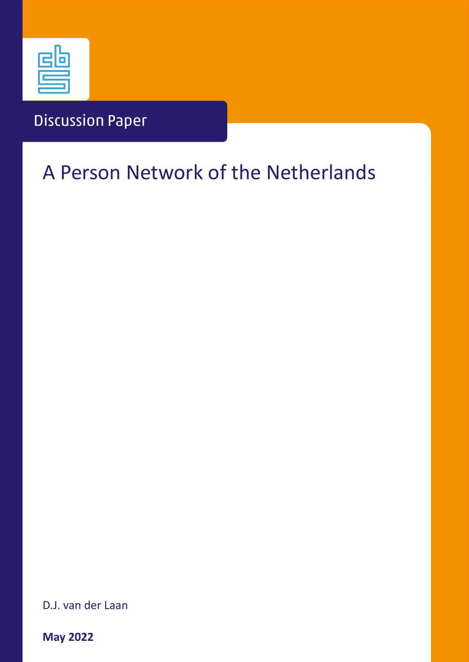

## Discussion Paper

# A Person Network of the Netherlands

D.J. van der Laan

**May 2022**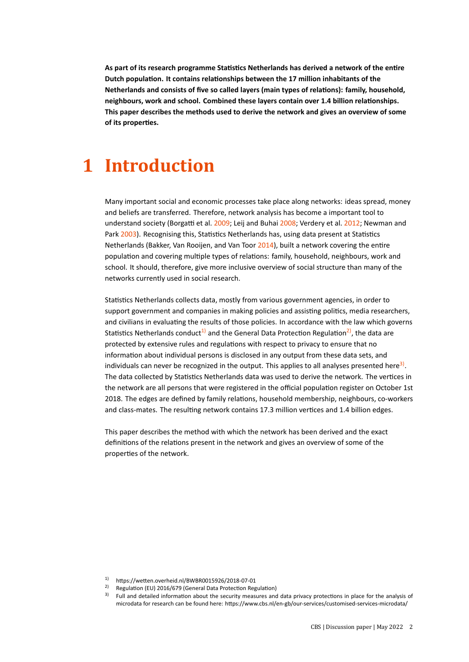**As part of its research programme Statistics Netherlands has derived a network of the entire Dutch population. It contains relationships between the 17 million inhabitants of the Netherlands and consists of five so called layers (main types of relations): family, household, neighbours, work and school. Combined these layers contain over 1.4 billion relationships. This paper describes the methods used to derive the network and gives an overview of some of its properties.**

### **1 Introduction**

Many important social and economic processes take place along networks: ideas spread, money and beliefs are transferred. Therefore, network analysis has become a important tool to understand society (Borgatti et al. [2009;](#page-11-0) Leij and Buhai [2008;](#page-11-1) Verdery et al. [2012;](#page-11-2) Newman and Park [2003\)](#page-11-3). Recognising this, Statistics Netherlands has, using data present at Statistics Netherlands (Bakker, Van Rooijen, and Van Toor [2014\)](#page-11-4), built a network covering the entire population and covering multiple types of relations: family, household, neighbours, work and school. It should, therefore, give more inclusive overview of social structure than many of the networks currently used in social research.

Statistics Netherlands collects data, mostly from various government agencies, in order to support government and companies in making policies and assisting politics, media researchers, and civilians in evaluating the results of those policies. In accordance with the law which governs Statistics Netherlands conduct<sup>1</sup> and the General Data Protection Regulation<sup>2</sup>, the data are protected by extensive rules and regulations with respect to privacy to ensure that no information about individual persons is disclosed in any output from these data sets, and individuals can never be recognized in the output. This applies to all analyses presented here<sup>[3\)](#page-1-2)</sup>. The data collected by Statistics Netherlands data was used to derive the network. The vertices in the network are all persons that were registered in the official population register on October 1st 2018. The edges are defined by family relations, household membership, neighbours, co-workers and class-mates. The resulting network contains 17.3 million vertices and 1.4 billion edges.

This paper describes the method with which the network has been derived and the exact definitions of the relations present in the network and gives an overview of some of the properties of the network.

<span id="page-1-0"></span><sup>&</sup>lt;sup>1)</sup> https://wetten.overheid.nl/BWBR0015926/2018-07-01<br><sup>2)</sup> Bogulation (EU) 2016/679 (Goneral Data Brotection Bog

<span id="page-1-1"></span><sup>2)</sup> Regulation (EU) 2016/679 (General Data Protection Regulation)

<span id="page-1-2"></span><sup>&</sup>lt;sup>3)</sup> Full and detailed information about the security measures and data privacy protections in place for the analysis of microdata for research can be found here: https://www.cbs.nl/en-gb/our-services/customised-services-microdata/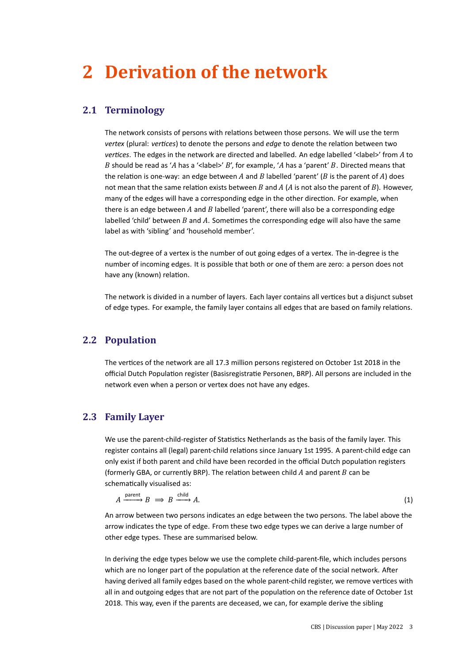## **2 Derivation of the network**

### <span id="page-2-0"></span>**2.1 Terminology**

The network consists of persons with relations between those persons. We will use the term *vertex* (plural: *vertices*) to denote the persons and *edge* to denote the relation between two *vertices*. The edges in the network are directed and labelled. An edge labelled '<label>' from A to B should be read as 'A has a '< label>'  $B$ ', for example, 'A has a 'parent'  $B$ . Directed means that the relation is one-way: an edge between A and B labelled 'parent' (B is the parent of A) does not mean that the same relation exists between B and A (A is not also the parent of B). However, many of the edges will have a corresponding edge in the other direction. For example, when there is an edge between  $A$  and  $B$  labelled 'parent', there will also be a corresponding edge labelled 'child' between  $B$  and  $A$ . Sometimes the corresponding edge will also have the same label as with 'sibling' and 'household member'.

The out-degree of a vertex is the number of out going edges of a vertex. The in-degree is the number of incoming edges. It is possible that both or one of them are zero: a person does not have any (known) relation.

The network is divided in a number of layers. Each layer contains all vertices but a disjunct subset of edge types. For example, the family layer contains all edges that are based on family relations.

### **2.2 Population**

The vertices of the network are all 17.3 million persons registered on October 1st 2018 in the official Dutch Population register (Basisregistratie Personen, BRP). All persons are included in the network even when a person or vertex does not have any edges.

#### **2.3 Family Layer**

We use the parent-child-register of Statistics Netherlands as the basis of the family layer. This register contains all (legal) parent-child relations since January 1st 1995. A parent-child edge can only exist if both parent and child have been recorded in the official Dutch population registers (formerly GBA, or currently BRP). The relation between child  $A$  and parent  $B$  can be schematically visualised as:

$$
A \xrightarrow{\text{parent}} B \implies B \xrightarrow{\text{child}} A. \tag{1}
$$

An arrow between two persons indicates an edge between the two persons. The label above the arrow indicates the type of edge. From these two edge types we can derive a large number of other edge types. These are summarised below.

In deriving the edge types below we use the complete child-parent-file, which includes persons which are no longer part of the population at the reference date of the social network. After having derived all family edges based on the whole parent-child register, we remove vertices with all in and outgoing edges that are not part of the population on the reference date of October 1st 2018. This way, even if the parents are deceased, we can, for example derive the sibling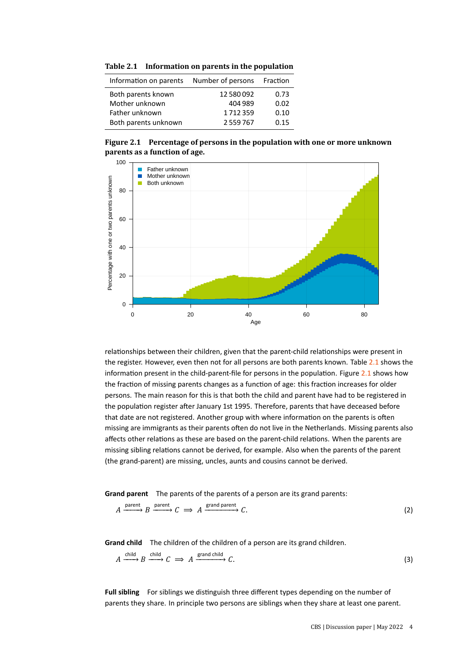<span id="page-3-0"></span>

| Table 2.1 | Information on parents in the population |  |  |
|-----------|------------------------------------------|--|--|
|-----------|------------------------------------------|--|--|

| Information on parents Number of persons |          | Fraction |
|------------------------------------------|----------|----------|
| Both parents known                       | 12580092 | 0.73     |
| Mother unknown                           | 404 989  | 0.02     |
| Father unknown                           | 1712359  | 0.10     |
| Both parents unknown                     | 2559767  | 0.15     |

<span id="page-3-1"></span>**Figure 2.1 Percentage of persons in the population with one or more unknown parents as a function of age.**



relationships between their children, given that the parent-child relationships were present in the register. However, even then not for all persons are both parents known. Table [2.1](#page-3-0) shows the information present in the child-parent-file for persons in the population. Figure [2.1](#page-3-1) shows how the fraction of missing parents changes as a function of age: this fraction increases for older persons. The main reason for this is that both the child and parent have had to be registered in the population register after January 1st 1995. Therefore, parents that have deceased before that date are not registered. Another group with where information on the parents is often missing are immigrants as their parents often do not live in the Netherlands. Missing parents also affects other relations as these are based on the parent-child relations. When the parents are missing sibling relations cannot be derived, for example. Also when the parents of the parent (the grand-parent) are missing, uncles, aunts and cousins cannot be derived.

**Grand parent** The parents of the parents of a person are its grand parents:

$$
A \xrightarrow{\text{parent}} B \xrightarrow{\text{parent}} C \implies A \xrightarrow{\text{grand parent}} C. \tag{2}
$$

**Grand child** The children of the children of a person are its grand children.

$$
A \xrightarrow{\text{child}} B \xrightarrow{\text{child}} C \implies A \xrightarrow{\text{grand child}} C.
$$
 (3)

**Full sibling** For siblings we distinguish three different types depending on the number of parents they share. In principle two persons are siblings when they share at least one parent.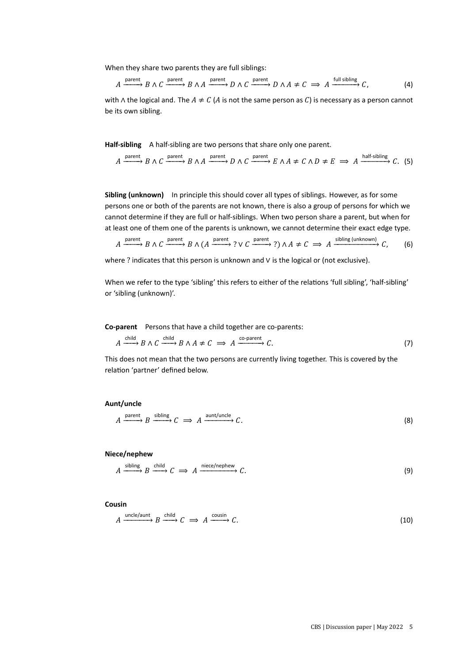When they share two parents they are full siblings:

$$
A \xrightarrow{\text{parent}} B \wedge C \xrightarrow{\text{parent}} B \wedge A \xrightarrow{\text{parent}} D \wedge C \xrightarrow{\text{parent}} D \wedge A \neq C \implies A \xrightarrow{\text{full sibling}} C,
$$
 (4)

with ∧ the logical and. The  $A \neq C$  (A is not the same person as C) is necessary as a person cannot be its own sibling.

**Half-sibling** A half-sibling are two persons that share only one parent.

$$
A \xrightarrow{\text{parent}} B \wedge C \xrightarrow{\text{parent}} B \wedge A \xrightarrow{\text{parent}} D \wedge C \xrightarrow{\text{parent}} E \wedge A \neq C \wedge D \neq E \implies A \xrightarrow{\text{half-sibling}} C. (5)
$$

**Sibling (unknown)** In principle this should cover all types of siblings. However, as for some persons one or both of the parents are not known, there is also a group of persons for which we cannot determine if they are full or half-siblings. When two person share a parent, but when for at least one of them one of the parents is unknown, we cannot determine their exact edge type.

 $A \xrightarrow{\text{parent}} B \wedge C \xrightarrow{\text{parent}} B \wedge (A \xrightarrow{\text{parent}} ? \vee C \xrightarrow{\text{parent}} ?) \wedge A \neq C \implies A \xrightarrow{\text{sibling (unknown)}} C$ , (6)

where ? indicates that this person is unknown and ∨ is the logical or (not exclusive).

When we refer to the type 'sibling' this refers to either of the relations 'full sibling', 'half-sibling' or 'sibling (unknown)'.

**Co-parent** Persons that have a child together are co-parents:

$$
A \xrightarrow{\text{child}} B \wedge C \xrightarrow{\text{child}} B \wedge A \neq C \implies A \xrightarrow{\text{co-part}} C.
$$
 (7)

This does not mean that the two persons are currently living together. This is covered by the relation 'partner' defined below.

#### **Aunt/uncle**

$$
A \xrightarrow{\text{parent}} B \xrightarrow{\text{sibling}} C \implies A \xrightarrow{\text{aunt/uncle}} C. \tag{8}
$$

**Niece/nephew**

$$
A \xrightarrow{\text{sibling}} B \xrightarrow{\text{child}} C \implies A \xrightarrow{\text{nice/nephew}} C. \tag{9}
$$

**Cousin**

$$
A \xrightarrow{\text{uncle/aunt}} B \xrightarrow{\text{child}} C \implies A \xrightarrow{\text{cousin}} C. \tag{10}
$$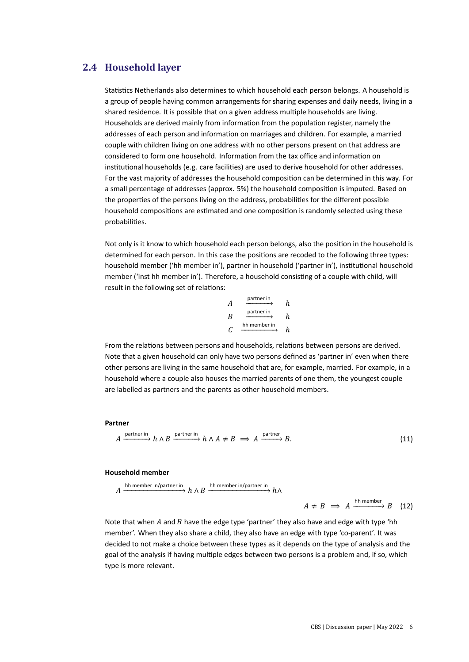### **2.4 Household layer**

Statistics Netherlands also determines to which household each person belongs. A household is a group of people having common arrangements for sharing expenses and daily needs, living in a shared residence. It is possible that on a given address multiple households are living. Households are derived mainly from information from the population register, namely the addresses of each person and information on marriages and children. For example, a married couple with children living on one address with no other persons present on that address are considered to form one household. Information from the tax office and information on institutional households (e.g. care facilities) are used to derive household for other addresses. For the vast majority of addresses the household composition can be determined in this way. For a small percentage of addresses (approx. 5%) the household composition is imputed. Based on the properties of the persons living on the address, probabilities for the different possible household compositions are estimated and one composition is randomly selected using these probabilities.

Not only is it know to which household each person belongs, also the position in the household is determined for each person. In this case the positions are recoded to the following three types: household member ('hh member in'), partner in household ('partner in'), institutional household member ('inst hh member in'). Therefore, a household consisting of a couple with child, will result in the following set of relations:

| А | partner in   | h. |
|---|--------------|----|
| R | partner in   | h  |
|   | hh member in | h  |

From the relations between persons and households, relations between persons are derived. Note that a given household can only have two persons defined as 'partner in' even when there other persons are living in the same household that are, for example, married. For example, in a household where a couple also houses the married parents of one them, the youngest couple are labelled as partners and the parents as other household members.

#### **Partner**

$$
A \xrightarrow{\text{partner in}} h \wedge B \xrightarrow{\text{partner in}} h \wedge A \neq B \implies A \xrightarrow{\text{partner}} B. \tag{11}
$$

#### **Household member**

$$
A \xrightarrow{\text{hh member in/partner in}} h \wedge B \xrightarrow{\text{hh member in/partner in}} h \wedge A \neq B \implies A \xrightarrow{\text{hh member}} B \quad (12)
$$

Note that when A and B have the edge type 'partner' they also have and edge with type 'hh member'. When they also share a child, they also have an edge with type 'co-parent'. It was decided to not make a choice between these types as it depends on the type of analysis and the goal of the analysis if having multiple edges between two persons is a problem and, if so, which type is more relevant.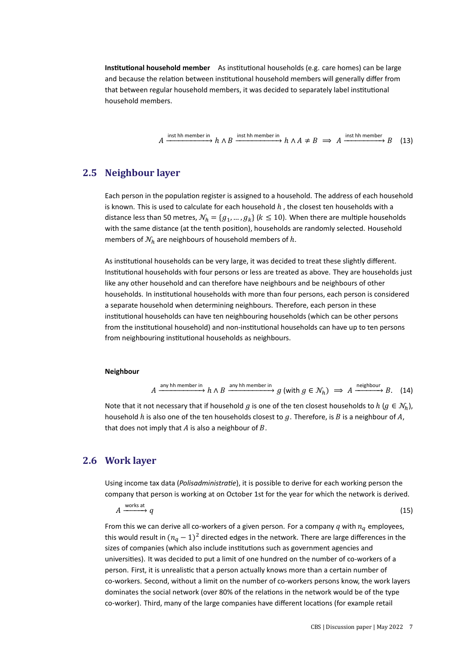**Institutional household member** As institutional households (e.g. care homes) can be large and because the relation between institutional household members will generally differ from that between regular household members, it was decided to separately label institutional household members.

$$
A \xrightarrow{\text{inst hh member in}} h \wedge B \xrightarrow{\text{inst hh member in}} h \wedge A \neq B \implies A \xrightarrow{\text{inst hh member}} B \quad (13)
$$

### **2.5 Neighbour layer**

Each person in the population register is assigned to a household. The address of each household is known. This is used to calculate for each household  $h$ , the closest ten households with a distance less than 50 metres,  $\mathcal{N}_h = \{g_1, ..., g_k\}$  ( $k \le 10$ ). When there are multiple households with the same distance (at the tenth position), households are randomly selected. Household members of  $\mathcal{N}_h$  are neighbours of household members of h.

As institutional households can be very large, it was decided to treat these slightly different. Institutional households with four persons or less are treated as above. They are households just like any other household and can therefore have neighbours and be neighbours of other households. In institutional households with more than four persons, each person is considered a separate household when determining neighbours. Therefore, each person in these institutional households can have ten neighbouring households (which can be other persons from the institutional household) and non-institutional households can have up to ten persons from neighbouring institutional households as neighbours.

#### **Neighbour**

$$
A \xrightarrow{\text{any hh member in}} h \wedge B \xrightarrow{\text{any hh member in}} g \text{ (with } g \in \mathcal{N}_h \text{)} \implies A \xrightarrow{\text{neighbor}} B. \quad (14)
$$

Note that it not necessary that if household g is one of the ten closest households to  $h (g \in \mathcal{N}_h)$ , household  $h$  is also one of the ten households closest to  $g$ . Therefore, is  $B$  is a neighbour of  $A$ , that does not imply that  $A$  is also a neighbour of  $B$ .

#### **2.6 Work layer**

Using income tax data (*Polisadministratie*), it is possible to derive for each working person the company that person is working at on October 1st for the year for which the network is derived.

 $A \xrightarrow{\text{works at}} q$  (15)

From this we can derive all co-workers of a given person. For a company  $q$  with  $n_q$  employees, this would result in  $(n_a - 1)^2$  directed edges in the network. There are large differences in the sizes of companies (which also include institutions such as government agencies and universities). It was decided to put a limit of one hundred on the number of co-workers of a person. First, it is unrealistic that a person actually knows more than a certain number of co-workers. Second, without a limit on the number of co-workers persons know, the work layers dominates the social network (over 80% of the relations in the network would be of the type co-worker). Third, many of the large companies have different locations (for example retail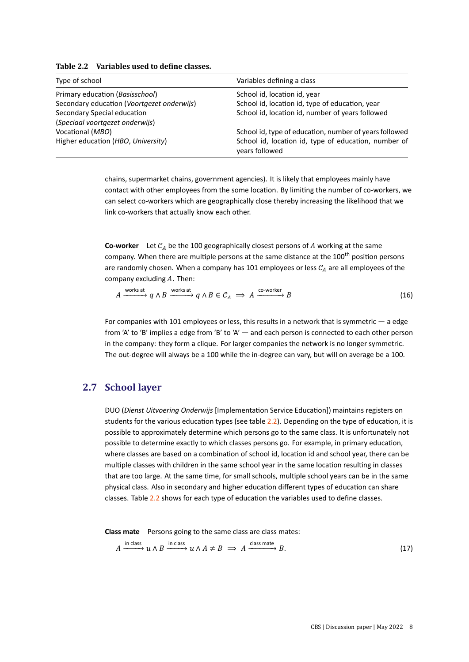| Type of school                             | Variables defining a class                                             |  |  |
|--------------------------------------------|------------------------------------------------------------------------|--|--|
| Primary education (Basisschool)            | School id, location id, year                                           |  |  |
| Secondary education (Voortgezet onderwijs) | School id, location id, type of education, year                        |  |  |
| Secondary Special education                | School id, location id, number of years followed                       |  |  |
| (Speciaal voortgezet onderwijs)            |                                                                        |  |  |
| Vocational (MBO)                           | School id, type of education, number of years followed                 |  |  |
| Higher education (HBO, University)         | School id, location id, type of education, number of<br>vears followed |  |  |

<span id="page-7-0"></span>**Table 2.2 Variables used to define classes.**

chains, supermarket chains, government agencies). It is likely that employees mainly have contact with other employees from the some location. By limiting the number of co-workers, we can select co-workers which are geographically close thereby increasing the likelihood that we link co-workers that actually know each other.

**Co-worker** Let  $C_A$  be the 100 geographically closest persons of A working at the same company. When there are multiple persons at the same distance at the 100<sup>th</sup> position persons are randomly chosen. When a company has 101 employees or less  $C_A$  are all employees of the company excluding  $A$ . Then:

$$
A \xrightarrow{\text{works at}} q \wedge B \xrightarrow{\text{works at}} q \wedge B \in C_A \implies A \xrightarrow{\text{co}-\text{worker}} B \tag{16}
$$

For companies with 101 employees or less, this results in a network that is symmetric — a edge from 'A' to 'B' implies a edge from 'B' to 'A' — and each person is connected to each other person in the company: they form a clique. For larger companies the network is no longer symmetric. The out-degree will always be a 100 while the in-degree can vary, but will on average be a 100.

#### **2.7 School layer**

DUO (*Dienst Uitvoering Onderwijs* [Implementation Service Education]) maintains registers on students for the various education types (see table  $2.2$ ). Depending on the type of education, it is possible to approximately determine which persons go to the same class. It is unfortunately not possible to determine exactly to which classes persons go. For example, in primary education, where classes are based on a combination of school id, location id and school year, there can be multiple classes with children in the same school year in the same location resulting in classes that are too large. At the same time, for small schools, multiple school years can be in the same physical class. Also in secondary and higher education different types of education can share classes. Table [2.2](#page-7-0) shows for each type of education the variables used to define classes.

**Class mate** Persons going to the same class are class mates:

$$
A \xrightarrow{\text{in class}} u \wedge B \xrightarrow{\text{in class}} u \wedge A \neq B \implies A \xrightarrow{\text{class mate}} B. \tag{17}
$$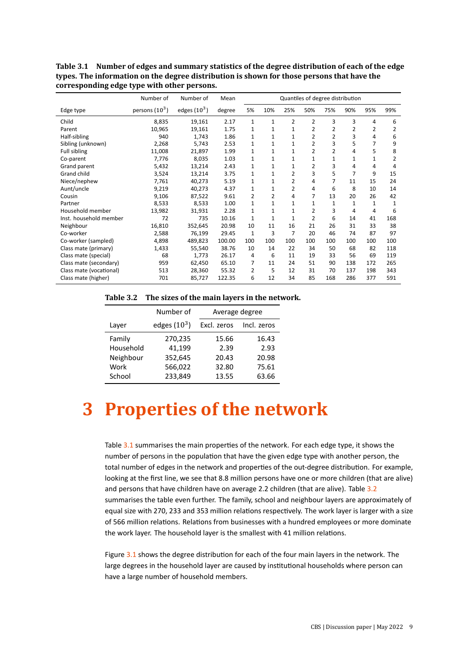|                         | Number of        | Number of      | Mean   | Quantiles of degree distribution |              |                |                |                |     |     |     |
|-------------------------|------------------|----------------|--------|----------------------------------|--------------|----------------|----------------|----------------|-----|-----|-----|
| Edge type               | persons $(10^3)$ | edges $(10^3)$ | degree | 5%                               | 10%          | 25%            | 50%            | 75%            | 90% | 95% | 99% |
| Child                   | 8,835            | 19,161         | 2.17   | 1                                | $\mathbf{1}$ | $\overline{2}$ | $\overline{2}$ | 3              | 3   | 4   | 6   |
| Parent                  | 10,965           | 19,161         | 1.75   | 1                                | 1            | 1              | 2              | 2              | 2   | 2   | 2   |
| Half-sibling            | 940              | 1,743          | 1.86   | 1                                | $\mathbf{1}$ | $\mathbf{1}$   | $\overline{2}$ | $\overline{2}$ | 3   | 4   | 6   |
| Sibling (unknown)       | 2,268            | 5,743          | 2.53   | $\mathbf{1}$                     | $\mathbf{1}$ | 1              | 2              | 3              | 5   | 7   | 9   |
| Full sibling            | 11,008           | 21,897         | 1.99   | $\mathbf{1}$                     | 1            | $\mathbf{1}$   | $\overline{2}$ | $\overline{2}$ | 4   | 5   | 8   |
| Co-parent               | 7,776            | 8,035          | 1.03   | 1                                | $\mathbf{1}$ | $\mathbf{1}$   | $\mathbf{1}$   | 1              | 1   | 1   | 2   |
| Grand parent            | 5,432            | 13,214         | 2.43   | 1                                | $\mathbf{1}$ | $\mathbf{1}$   | 2              | 3              | 4   | 4   | 4   |
| Grand child             | 3,524            | 13,214         | 3.75   | 1                                | 1            | 2              | 3              | 5              | 7   | 9   | 15  |
| Niece/nephew            | 7,761            | 40,273         | 5.19   | 1                                | 1            | 2              | 4              | 7              | 11  | 15  | 24  |
| Aunt/uncle              | 9,219            | 40,273         | 4.37   | 1                                | 1            | $\overline{2}$ | 4              | 6              | 8   | 10  | 14  |
| Cousin                  | 9,106            | 87,522         | 9.61   | 2                                | 2            | 4              | 7              | 13             | 20  | 26  | 42  |
| Partner                 | 8,533            | 8,533          | 1.00   | 1                                | $\mathbf{1}$ | 1              | $\mathbf{1}$   | 1              | 1   | 1   | 1   |
| Household member        | 13,982           | 31,931         | 2.28   | 1                                | 1            | 1              | 2              | 3              | 4   | 4   | 6   |
| Inst. household member  | 72               | 735            | 10.16  | 1                                | 1            | $\mathbf{1}$   | 2              | 6              | 14  | 41  | 168 |
| Neighbour               | 16,810           | 352,645        | 20.98  | 10                               | 11           | 16             | 21             | 26             | 31  | 33  | 38  |
| Co-worker               | 2,588            | 76,199         | 29.45  | 1                                | 3            | 7              | 20             | 46             | 74  | 87  | 97  |
| Co-worker (sampled)     | 4,898            | 489,823        | 100.00 | 100                              | 100          | 100            | 100            | 100            | 100 | 100 | 100 |
| Class mate (primary)    | 1,433            | 55,540         | 38.76  | 10                               | 14           | 22             | 34             | 50             | 68  | 82  | 118 |
| Class mate (special)    | 68               | 1,773          | 26.17  | 4                                | 6            | 11             | 19             | 33             | 56  | 69  | 119 |
| Class mate (secondary)  | 959              | 62,450         | 65.10  | 7                                | 11           | 24             | 51             | 90             | 138 | 172 | 265 |
| Class mate (vocational) | 513              | 28,360         | 55.32  | $\overline{2}$                   | 5            | 12             | 31             | 70             | 137 | 198 | 343 |
| Class mate (higher)     | 701              | 85,727         | 122.35 | 6                                | 12           | 34             | 85             | 168            | 286 | 377 | 591 |

<span id="page-8-0"></span>**Table 3.1 Number of edges and summary statistics of the degree distribution of each of the edge types. The information on the degree distribution is shown for those persons that have the corresponding edge type with other persons.**

<span id="page-8-1"></span>**Table 3.2 The sizes of the main layers in the network.**

|           | Number of      | Average degree |             |  |
|-----------|----------------|----------------|-------------|--|
| Layer     | edges $(10^3)$ | Excl. zeros    | Incl. zeros |  |
| Family    | 270,235        | 15.66          | 16.43       |  |
| Household | 41,199         | 2.39           | 2.93        |  |
| Neighbour | 352,645        | 20.43          | 20.98       |  |
| Work      | 566,022        | 32.80          | 75.61       |  |
| School    | 233,849        | 13.55          | 63.66       |  |

## **3 Properties of the network**

Table [3.1](#page-8-0) summarises the main properties of the network. For each edge type, it shows the number of persons in the population that have the given edge type with another person, the total number of edges in the network and properties of the out-degree distribution. For example, looking at the first line, we see that 8.8 million persons have one or more children (that are alive) and persons that have children have on average 2.2 children (that are alive). Table [3.2](#page-8-1) summarises the table even further. The family, school and neighbour layers are approximately of equal size with 270, 233 and 353 million relations respectively. The work layer is larger with a size of 566 million relations. Relations from businesses with a hundred employees or more dominate the work layer. The household layer is the smallest with 41 million relations.

Figure [3.1](#page-9-0) shows the degree distribution for each of the four main layers in the network. The large degrees in the household layer are caused by institutional households where person can have a large number of household members.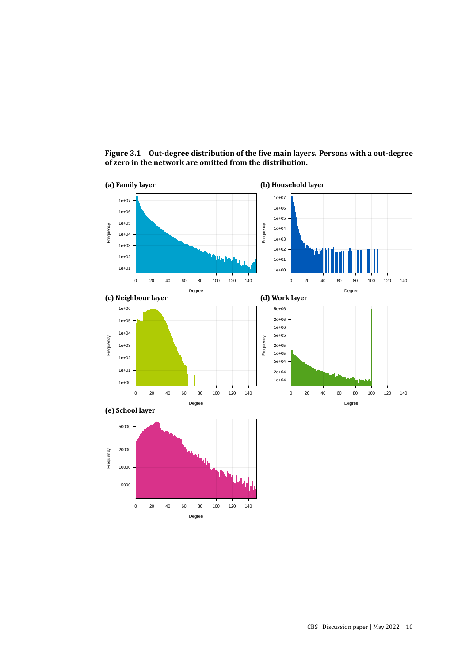

<span id="page-9-0"></span>**Figure 3.1 Out-degree distribution of the five main layers. Persons with a out-degree of zero in the network are omitted from the distribution.**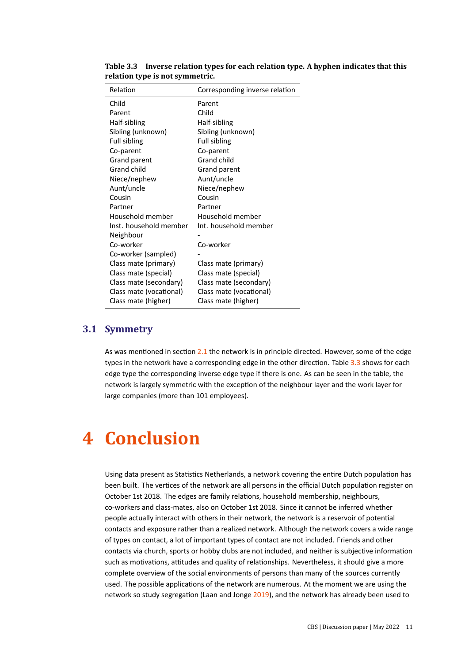| Relation                | Corresponding inverse relation |
|-------------------------|--------------------------------|
| Child                   | Parent                         |
| Parent                  | Child                          |
| Half-sibling            | Half-sibling                   |
| Sibling (unknown)       | Sibling (unknown)              |
| Full sibling            | <b>Full sibling</b>            |
| Co-parent               | Co-parent                      |
| Grand parent            | Grand child                    |
| Grand child             | Grand parent                   |
| Niece/nephew            | Aunt/uncle                     |
| Aunt/uncle              | Niece/nephew                   |
| Cousin                  | Cousin                         |
| Partner                 | Partner                        |
| Household member        | Household member               |
| Inst. household member  | Int. household member          |
| Neighbour               |                                |
| Co-worker               | Co-worker                      |
| Co-worker (sampled)     |                                |
| Class mate (primary)    | Class mate (primary)           |
| Class mate (special)    | Class mate (special)           |
| Class mate (secondary)  | Class mate (secondary)         |
| Class mate (vocational) | Class mate (vocational)        |
| Class mate (higher)     | Class mate (higher)            |

<span id="page-10-0"></span>**Table 3.3 Inverse relation types for each relation type. A hyphen indicates that this relation type is not symmetric.**

#### **3.1 Symmetry**

As was mentioned in section [2.1](#page-2-0) the network is in principle directed. However, some of the edge types in the network have a corresponding edge in the other direction. Table [3.3](#page-10-0) shows for each edge type the corresponding inverse edge type if there is one. As can be seen in the table, the network is largely symmetric with the exception of the neighbour layer and the work layer for large companies (more than 101 employees).

## **4 Conclusion**

Using data present as Statistics Netherlands, a network covering the entire Dutch population has been built. The vertices of the network are all persons in the official Dutch population register on October 1st 2018. The edges are family relations, household membership, neighbours, co-workers and class-mates, also on October 1st 2018. Since it cannot be inferred whether people actually interact with others in their network, the network is a reservoir of potential contacts and exposure rather than a realized network. Although the network covers a wide range of types on contact, a lot of important types of contact are not included. Friends and other contacts via church, sports or hobby clubs are not included, and neither is subjective information such as motivations, attitudes and quality of relationships. Nevertheless, it should give a more complete overview of the social environments of persons than many of the sources currently used. The possible applications of the network are numerous. At the moment we are using the network so study segregation (Laan and Jonge [2019\)](#page-11-5), and the network has already been used to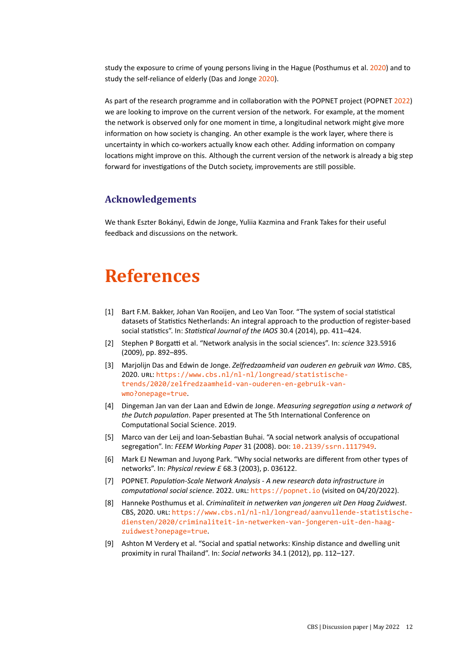study the exposure to crime of young persons living in the Hague (Posthumus et al. [2020\)](#page-11-6) and to study the self-reliance of elderly (Das and Jonge [2020\)](#page-11-7).

As part of the research programme and in collaboration with the POPNET project (POPNET [2022\)](#page-11-8) we are looking to improve on the current version of the network. For example, at the moment the network is observed only for one moment in time, a longitudinal network might give more information on how society is changing. An other example is the work layer, where there is uncertainty in which co-workers actually know each other. Adding information on company locations might improve on this. Although the current version of the network is already a big step forward for investigations of the Dutch society, improvements are still possible.

#### **Acknowledgements**

We thank Eszter Bokányi, Edwin de Jonge, Yuliia Kazmina and Frank Takes for their useful feedback and discussions on the network.

### **References**

- <span id="page-11-4"></span>[1] Bart F.M. Bakker, Johan Van Rooijen, and Leo Van Toor. "The system of social statistical datasets of Statistics Netherlands: An integral approach to the production of register-based social statistics". In: *Statistical Journal of the IAOS* 30.4 (2014), pp. 411–424.
- <span id="page-11-0"></span>[2] Stephen P Borgatti et al. "Network analysis in the social sciences". In: *science* 323.5916 (2009), pp. 892–895.
- <span id="page-11-7"></span>[3] Marjolijn Das and Edwin de Jonge. *Zelfredzaamheid van ouderen en gebruik van Wmo*. CBS, 2020. URL: [https://www.cbs.nl/nl-nl/longread/statistische](https://www.cbs.nl/nl-nl/longread/statistische-trends/2020/zelfredzaamheid-van-ouderen-en-gebruik-van-wmo?onepage=true)[trends/2020/zelfredzaamheid-van-ouderen-en-gebruik-van](https://www.cbs.nl/nl-nl/longread/statistische-trends/2020/zelfredzaamheid-van-ouderen-en-gebruik-van-wmo?onepage=true)[wmo?onepage=true](https://www.cbs.nl/nl-nl/longread/statistische-trends/2020/zelfredzaamheid-van-ouderen-en-gebruik-van-wmo?onepage=true).
- <span id="page-11-5"></span>[4] Dingeman Jan van der Laan and Edwin de Jonge. *Measuring segregation using a network of the Dutch population*. Paper presented at The 5th International Conference on Computational Social Science. 2019.
- <span id="page-11-1"></span>[5] Marco van der Leij and Ioan-Sebastian Buhai. "A social network analysis of occupational segregation". In: *FEEM Working Paper* 31 (2008). DOI: [10.2139/ssrn.1117949](https://doi.org/10.2139/ssrn.1117949).
- <span id="page-11-3"></span>[6] Mark EJ Newman and Juyong Park. "Why social networks are different from other types of networks". In: *Physical review E* 68.3 (2003), p. 036122.
- <span id="page-11-8"></span>[7] POPNET. *Population-Scale Network Analysis - A new research data infrastructure in computational social science*. 2022. URL: <https://popnet.io> (visited on 04/20/2022).
- <span id="page-11-6"></span>[8] Hanneke Posthumus et al. *Criminaliteit in netwerken van jongeren uit Den Haag Zuidwest*. CBS, 2020. URL: [https://www.cbs.nl/nl-nl/longread/aanvullende-statistische](https://www.cbs.nl/nl-nl/longread/aanvullende-statistische-diensten/2020/criminaliteit-in-netwerken-van-jongeren-uit-den-haag-zuidwest?onepage=true)[diensten/2020/criminaliteit-in-netwerken-van-jongeren-uit-den-haag](https://www.cbs.nl/nl-nl/longread/aanvullende-statistische-diensten/2020/criminaliteit-in-netwerken-van-jongeren-uit-den-haag-zuidwest?onepage=true)[zuidwest?onepage=true](https://www.cbs.nl/nl-nl/longread/aanvullende-statistische-diensten/2020/criminaliteit-in-netwerken-van-jongeren-uit-den-haag-zuidwest?onepage=true).
- <span id="page-11-2"></span>[9] Ashton M Verdery et al. "Social and spatial networks: Kinship distance and dwelling unit proximity in rural Thailand". In: *Social networks* 34.1 (2012), pp. 112–127.